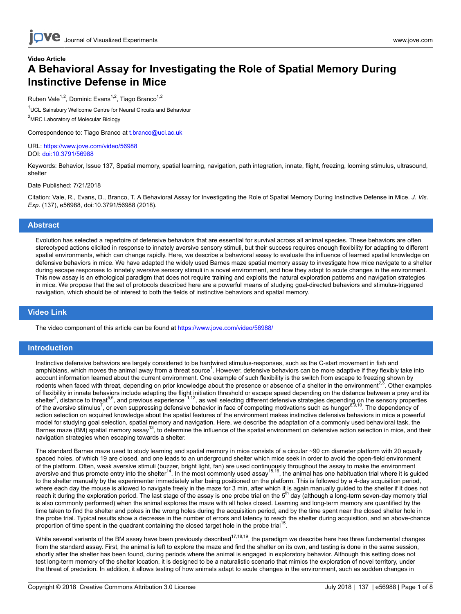## **Video Article A Behavioral Assay for Investigating the Role of Spatial Memory During Instinctive Defense in Mice**

Ruben Vale<sup>1,2</sup>, Dominic Evans<sup>1,2</sup>, Tiago Branco<sup>1,2</sup>

<sup>1</sup>UCL Sainsbury Wellcome Centre for Neural Circuits and Behaviour <sup>2</sup>MRC Laboratory of Molecular Biology

Correspondence to: Tiago Branco at [t.branco@ucl.ac.uk](mailto:t.branco@ucl.ac.uk)

URL:<https://www.jove.com/video/56988> DOI: [doi:10.3791/56988](http://dx.doi.org/10.3791/56988)

Keywords: Behavior, Issue 137, Spatial memory, spatial learning, navigation, path integration, innate, flight, freezing, looming stimulus, ultrasound, shelter

Date Published: 7/21/2018

Citation: Vale, R., Evans, D., Branco, T. A Behavioral Assay for Investigating the Role of Spatial Memory During Instinctive Defense in Mice. *J. Vis. Exp.* (137), e56988, doi:10.3791/56988 (2018).

#### **Abstract**

Evolution has selected a repertoire of defensive behaviors that are essential for survival across all animal species. These behaviors are often stereotyped actions elicited in response to innately aversive sensory stimuli, but their success requires enough flexibility for adapting to different spatial environments, which can change rapidly. Here, we describe a behavioral assay to evaluate the influence of learned spatial knowledge on defensive behaviors in mice. We have adapted the widely used Barnes maze spatial memory assay to investigate how mice navigate to a shelter during escape responses to innately aversive sensory stimuli in a novel environment, and how they adapt to acute changes in the environment. This new assay is an ethological paradigm that does not require training and exploits the natural exploration patterns and navigation strategies in mice. We propose that the set of protocols described here are a powerful means of studying goal-directed behaviors and stimulus-triggered navigation, which should be of interest to both the fields of instinctive behaviors and spatial memory.

### **Video Link**

The video component of this article can be found at <https://www.jove.com/video/56988/>

#### **Introduction**

Instinctive defensive behaviors are largely considered to be hardwired stimulus-responses, such as the C-start movement in fish and amphibians, which moves the animal away from a threat source<sup>1</sup>. However, defensive behaviors can be more adaptive if they flexibly take into account information learned about the current environment. One example of such flexibility is the switch from escape to freezing shown by rodents when faced with threat, depending on prior knowledge about the presence or absence of a shelter in the environment<sup>2,3</sup>. Other examples of flexibility in innate behaviors include adapting the flight initiation threshold or escape speed depending on the distance between a prey and its<br>shelter<sup>4</sup>, distance to threat<sup>5,6</sup>, and previous experience<sup>11,12</sup>, as w of the aversive stimulus<sup>7</sup>, or even suppressing defensive behavior in face of competing motivations such as hunger<sup>8,9,10</sup>. The dependency of action selection on acquired knowledge about the spatial features of the environment makes instinctive defensive behaviors in mice a powerful model for studying goal selection, spatial memory and navigation. Here, we describe the adaptation of a commonly used behavioral task, the<br>Barnes maze (BM) spatial memory assay<sup>13</sup>, to determine the influence of the spatia navigation strategies when escaping towards a shelter.

The standard Barnes maze used to study learning and spatial memory in mice consists of a circular ~90 cm diameter platform with 20 equally spaced holes, of which 19 are closed, and one leads to an underground shelter which mice seek in order to avoid the open-field environment of the platform. Often, weak aversive stimuli (buzzer, bright light, fan) are used continuously throughout the assay to make the environment<br>aversive and thus promote entry into the shelter<sup>14</sup>. In the most commonly used a to the shelter manually by the experimenter immediately after being positioned on the platform. This is followed by a 4-day acquisition period, where each day the mouse is allowed to navigate freely in the maze for 3 min, after which it is again manually guided to the shelter if it does not reach it during the exploration period. The last stage of the assay is one probe trial on the 5<sup>th</sup> day (although a long-term seven-day memory trial is also commonly performed) when the animal explores the maze with all holes closed. Learning and long-term memory are quantified by the time taken to find the shelter and pokes in the wrong holes during the acquisition period, and by the time spent near the closed shelter hole in the probe trial. Typical results show a decrease in the number of errors and latency to reach the shelter during acquisition, and an above-chance proportion of time spent in the quadrant containing the closed target hole in the probe trial<sup>15</sup> .

While several variants of the BM assay have been previously described<sup>17,18,19</sup>, the paradigm we describe here has three fundamental changes from the standard assay. First, the animal is left to explore the maze and find the shelter on its own, and testing is done in the same session, shortly after the shelter has been found, during periods where the animal is engaged in exploratory behavior. Although this setting does not test long-term memory of the shelter location, it is designed to be a naturalistic scenario that mimics the exploration of novel territory, under the threat of predation. In addition, it allows testing of how animals adapt to acute changes in the environment, such as sudden changes in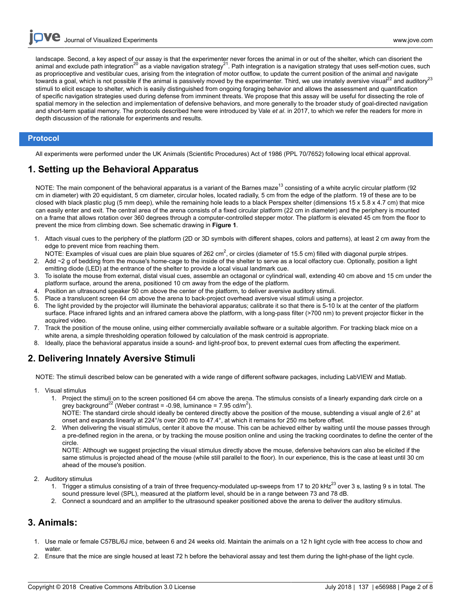**Dve** Journal of Visualized [Experiments](https://www.jove.com) [www.jove.com](https://www.jove.com)

landscape. Second, a key aspect of our assay is that the experimenter never forces the animal in or out of the shelter, which can disorient the animal and exclude path integration<sup>20</sup> as a viable navigation strategy<sup>21</sup>. Path integration is a navigation strategy that uses self-motion cues, such as proprioceptive and vestibular cues, arising from the integration of motor outflow, to update the current position of the animal and navigate towards a goal, which is not possible if the animal is passively moved by the experimenter. Third, we use innately aversive visual<sup>22</sup> and auditory<sup>23</sup> stimuli to elicit escape to shelter, which is easily distinguished from ongoing foraging behavior and allows the assessment and quantification of specific navigation strategies used during defense from imminent threats. We propose that this assay will be useful for dissecting the role of spatial memory in the selection and implementation of defensive behaviors, and more generally to the broader study of goal-directed navigation and short-term spatial memory. The protocols described here were introduced by Vale *et al*. in 2017, to which we refer the readers for more in depth discussion of the rationale for experiments and results.

### **Protocol**

All experiments were performed under the UK Animals (Scientific Procedures) Act of 1986 (PPL 70/7652) following local ethical approval.

### **1. Setting up the Behavioral Apparatus**

NOTE: The main component of the behavioral apparatus is a variant of the Barnes maze<sup>13</sup> consisting of a white acrylic circular platform (92 cm in diameter) with 20 equidistant, 5 cm diameter, circular holes, located radially, 5 cm from the edge of the platform. 19 of these are to be closed with black plastic plug (5 mm deep), while the remaining hole leads to a black Perspex shelter (dimensions 15 x 5.8 x 4.7 cm) that mice can easily enter and exit. The central area of the arena consists of a fixed circular platform (22 cm in diameter) and the periphery is mounted on a frame that allows rotation over 360 degrees through a computer-controlled stepper motor. The platform is elevated 45 cm from the floor to prevent the mice from climbing down. See schematic drawing in **Figure 1**.

- 1. Attach visual cues to the periphery of the platform (2D or 3D symbols with different shapes, colors and patterns), at least 2 cm away from the edge to prevent mice from reaching them.
- NOTE: Examples of visual cues are plain blue squares of 262 cm<sup>2</sup>, or circles (diameter of 15.5 cm) filled with diagonal purple stripes. 2. Add ~2 g of bedding from the mouse's home-cage to the inside of the shelter to serve as a local olfactory cue. Optionally, position a light
- emitting diode (LED) at the entrance of the shelter to provide a local visual landmark cue.
- 3. To isolate the mouse from external, distal visual cues, assemble an octagonal or cylindrical wall, extending 40 cm above and 15 cm under the platform surface, around the arena, positioned 10 cm away from the edge of the platform.
- 4. Position an ultrasound speaker 50 cm above the center of the platform, to deliver aversive auditory stimuli.
- 5. Place a translucent screen 64 cm above the arena to back-project overhead aversive visual stimuli using a projector.
- 6. The light provided by the projector will illuminate the behavioral apparatus; calibrate it so that there is 5-10 lx at the center of the platform surface. Place infrared lights and an infrared camera above the platform, with a long-pass filter (>700 nm) to prevent projector flicker in the acquired video.
- 7. Track the position of the mouse online, using either commercially available software or a suitable algorithm. For tracking black mice on a white arena, a simple thresholding operation followed by calculation of the mask centroid is appropriate.
- 8. Ideally, place the behavioral apparatus inside a sound- and light-proof box, to prevent external cues from affecting the experiment.

### **2. Delivering Innately Aversive Stimuli**

NOTE: The stimuli described below can be generated with a wide range of different software packages, including LabVIEW and Matlab.

- 1. Visual stimulus
	- 1. Project the stimuli on to the screen positioned 64 cm above the arena. The stimulus consists of a linearly expanding dark circle on a grey background<sup>22</sup> (Weber contrast = -0.98, luminance = 7.95 cd/m<sup>2</sup>).

NOTE: The standard circle should ideally be centered directly above the position of the mouse, subtending a visual angle of 2.6° at onset and expands linearly at 224°/s over 200 ms to 47.4°, at which it remains for 250 ms before offset.

2. When delivering the visual stimulus, center it above the mouse. This can be achieved either by waiting until the mouse passes through a pre-defined region in the arena, or by tracking the mouse position online and using the tracking coordinates to define the center of the circle.

NOTE: Although we suggest projecting the visual stimulus directly above the mouse, defensive behaviors can also be elicited if the same stimulus is projected ahead of the mouse (while still parallel to the floor). In our experience, this is the case at least until 30 cm ahead of the mouse's position.

- 2. Auditory stimulus
	- 1. Trigger a stimulus consisting of a train of three frequency-modulated up-sweeps from 17 to 20 kHz<sup>23</sup> over 3 s, lasting 9 s in total. The sound pressure level (SPL), measured at the platform level, should be in a range between 73 and 78 dB.
	- 2. Connect a soundcard and an amplifier to the ultrasound speaker positioned above the arena to deliver the auditory stimulus.

### **3. Animals:**

- 1. Use male or female C57BL/6J mice, between 6 and 24 weeks old. Maintain the animals on a 12 h light cycle with free access to chow and water
- 2. Ensure that the mice are single housed at least 72 h before the behavioral assay and test them during the light-phase of the light cycle.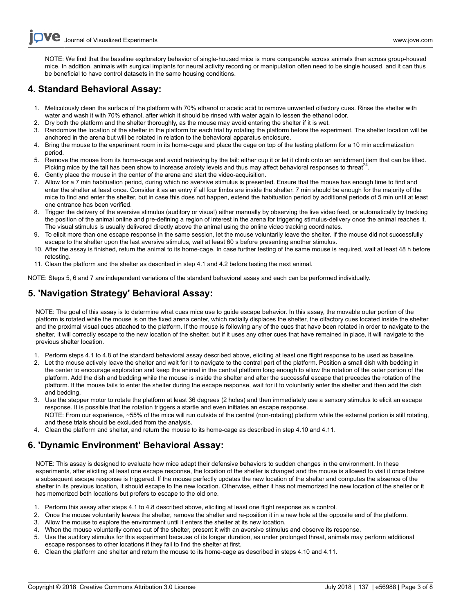NOTE: We find that the baseline exploratory behavior of single-housed mice is more comparable across animals than across group-housed mice. In addition, animals with surgical implants for neural activity recording or manipulation often need to be single housed, and it can thus be beneficial to have control datasets in the same housing conditions.

### **4. Standard Behavioral Assay:**

- 1. Meticulously clean the surface of the platform with 70% ethanol or acetic acid to remove unwanted olfactory cues. Rinse the shelter with water and wash it with 70% ethanol, after which it should be rinsed with water again to lessen the ethanol odor.
- 2. Dry both the platform and the shelter thoroughly, as the mouse may avoid entering the shelter if it is wet.
- 3. Randomize the location of the shelter in the platform for each trial by rotating the platform before the experiment. The shelter location will be anchored in the arena but will be rotated in relation to the behavioral apparatus enclosure.
- 4. Bring the mouse to the experiment room in its home-cage and place the cage on top of the testing platform for a 10 min acclimatization period.
- 5. Remove the mouse from its home-cage and avoid retrieving by the tail: either cup it or let it climb onto an enrichment item that can be lifted. Picking mice by the tail has been show to increase anxiety levels and thus may affect behavioral responses to threat<sup>24</sup>.
- 6. Gently place the mouse in the center of the arena and start the video-acquisition.
- 7. Allow for a 7 min habituation period, during which no aversive stimulus is presented. Ensure that the mouse has enough time to find and enter the shelter at least once. Consider it as an entry if all four limbs are inside the shelter. 7 min should be enough for the majority of the mice to find and enter the shelter, but in case this does not happen, extend the habituation period by additional periods of 5 min until at least one entrance has been verified.
- 8. Trigger the delivery of the aversive stimulus (auditory or visual) either manually by observing the live video feed, or automatically by tracking the position of the animal online and pre-defining a region of interest in the arena for triggering stimulus-delivery once the animal reaches it. The visual stimulus is usually delivered directly above the animal using the online video tracking coordinates.
- 9. To elicit more than one escape response in the same session, let the mouse voluntarily leave the shelter. If the mouse did not successfully escape to the shelter upon the last aversive stimulus, wait at least 60 s before presenting another stimulus.
- 10. After the assay is finished, return the animal to its home-cage. In case further testing of the same mouse is required, wait at least 48 h before retesting.
- 11. Clean the platform and the shelter as described in step 4.1 and 4.2 before testing the next animal.

NOTE: Steps 5, 6 and 7 are independent variations of the standard behavioral assay and each can be performed individually.

## **5. 'Navigation Strategy' Behavioral Assay:**

NOTE: The goal of this assay is to determine what cues mice use to guide escape behavior. In this assay, the movable outer portion of the platform is rotated while the mouse is on the fixed arena center, which radially displaces the shelter, the olfactory cues located inside the shelter and the proximal visual cues attached to the platform. If the mouse is following any of the cues that have been rotated in order to navigate to the shelter, it will correctly escape to the new location of the shelter, but if it uses any other cues that have remained in place, it will navigate to the previous shelter location.

- 1. Perform steps 4.1 to 4.8 of the standard behavioral assay described above, eliciting at least one flight response to be used as baseline.
- 2. Let the mouse actively leave the shelter and wait for it to navigate to the central part of the platform. Position a small dish with bedding in the center to encourage exploration and keep the animal in the central platform long enough to allow the rotation of the outer portion of the platform. Add the dish and bedding while the mouse is inside the shelter and after the successful escape that precedes the rotation of the platform. If the mouse fails to enter the shelter during the escape response, wait for it to voluntarily enter the shelter and then add the dish and bedding.
- 3. Use the stepper motor to rotate the platform at least 36 degrees (2 holes) and then immediately use a sensory stimulus to elicit an escape response. It is possible that the rotation triggers a startle and even initiates an escape response. NOTE: From our experience, ~55% of the mice will run outside of the central (non-rotating) platform while the external portion is still rotating, and these trials should be excluded from the analysis.
- 4. Clean the platform and shelter, and return the mouse to its home-cage as described in step 4.10 and 4.11.

## **6. 'Dynamic Environment' Behavioral Assay:**

NOTE: This assay is designed to evaluate how mice adapt their defensive behaviors to sudden changes in the environment. In these experiments, after eliciting at least one escape response, the location of the shelter is changed and the mouse is allowed to visit it once before a subsequent escape response is triggered. If the mouse perfectly updates the new location of the shelter and computes the absence of the shelter in its previous location, it should escape to the new location. Otherwise, either it has not memorized the new location of the shelter or it has memorized both locations but prefers to escape to the old one.

- 1. Perform this assay after steps 4.1 to 4.8 described above, eliciting at least one flight response as a control.
- 2. Once the mouse voluntarily leaves the shelter, remove the shelter and re-position it in a new hole at the opposite end of the platform.
- 3. Allow the mouse to explore the environment until it enters the shelter at its new location.
- 4. When the mouse voluntarily comes out of the shelter, present it with an aversive stimulus and observe its response.
- 5. Use the auditory stimulus for this experiment because of its longer duration, as under prolonged threat, animals may perform additional escape responses to other locations if they fail to find the shelter at first.
- 6. Clean the platform and shelter and return the mouse to its home-cage as described in steps 4.10 and 4.11.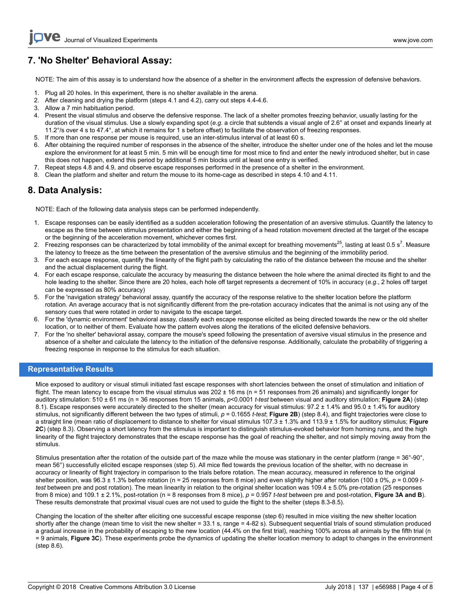# **7. 'No Shelter' Behavioral Assay:**

NOTE: The aim of this assay is to understand how the absence of a shelter in the environment affects the expression of defensive behaviors.

- 1. Plug all 20 holes. In this experiment, there is no shelter available in the arena.
- 2. After cleaning and drying the platform (steps 4.1 and 4.2), carry out steps 4.4-4.6.
- 3. Allow a 7 min habituation period.
- 4. Present the visual stimulus and observe the defensive response. The lack of a shelter promotes freezing behavior, usually lasting for the duration of the visual stimulus. Use a slowly expanding spot (*e.g*. a circle that subtends a visual angle of 2.6° at onset and expands linearly at 11.2°/s over 4 s to 47.4°, at which it remains for 1 s before offset) to facilitate the observation of freezing responses.
- 5. If more than one response per mouse is required, use an inter-stimulus interval of at least 60 s.
- 6. After obtaining the required number of responses in the absence of the shelter, introduce the shelter under one of the holes and let the mouse explore the environment for at least 5 min. 5 min will be enough time for most mice to find and enter the newly introduced shelter, but in case this does not happen, extend this period by additional 5 min blocks until at least one entry is verified.
- 7. Repeat steps 4.8 and 4.9, and observe escape responses performed in the presence of a shelter in the environment.
- 8. Clean the platform and shelter and return the mouse to its home-cage as described in steps 4.10 and 4.11.

### **8. Data Analysis:**

NOTE: Each of the following data analysis steps can be performed independently.

- 1. Escape responses can be easily identified as a sudden acceleration following the presentation of an aversive stimulus. Quantify the latency to escape as the time between stimulus presentation and either the beginning of a head rotation movement directed at the target of the escape or the beginning of the acceleration movement, whichever comes first.
- 2. Freezing responses can be characterized by total immobility of the animal except for breathing movements<sup>25</sup>, lasting at least 0.5 s<sup>7</sup>. Measure the latency to freeze as the time between the presentation of the aversive stimulus and the beginning of the immobility period.
- 3. For each escape response, quantify the linearity of the flight path by calculating the ratio of the distance between the mouse and the shelter and the actual displacement during the flight.
- 4. For each escape response, calculate the accuracy by measuring the distance between the hole where the animal directed its flight to and the hole leading to the shelter. Since there are 20 holes, each hole off target represents a decrement of 10% in accuracy (*e.g*., 2 holes off target can be expressed as 80% accuracy)
- 5. For the 'navigation strategy' behavioral assay, quantify the accuracy of the response relative to the shelter location before the platform rotation. An average accuracy that is not significantly different from the pre-rotation accuracy indicates that the animal is not using any of the sensory cues that were rotated in order to navigate to the escape target.
- 6. For the 'dynamic environment' behavioral assay, classify each escape response elicited as being directed towards the new or the old shelter location, or to neither of them. Evaluate how the pattern evolves along the iterations of the elicited defensive behaviors.
- 7. For the 'no shelter' behavioral assay, compare the mouse's speed following the presentation of aversive visual stimulus in the presence and absence of a shelter and calculate the latency to the initiation of the defensive response. Additionally, calculate the probability of triggering a freezing response in response to the stimulus for each situation.

### **Representative Results**

Mice exposed to auditory or visual stimuli initiated fast escape responses with short latencies between the onset of stimulation and initiation of flight. The mean latency to escape from the visual stimulus was  $202 \pm 16$  ms (n = 51 responses from 26 animals) and significantly longer for auditory stimulation: 510 ± 61 ms (n = 36 responses from 15 animals, *p*<0.0001 *t-test* between visual and auditory stimulation; **Figure 2A**) (step 8.1). Escape responses were accurately directed to the shelter (mean accuracy for visual stimulus: 97.2 ± 1.4% and 95.0 ± 1.4% for auditory stimulus, not significantly different between the two types of stimuli, *p* = 0.1655 *t-test*; **Figure 2B**) (step 8.4), and flight trajectories were close to a straight line (mean ratio of displacement to distance to shelter for visual stimulus 107.3 ± 1.3% and 113.9 ± 1.5% for auditory stimulus; **Figure 2C**) (step 8.3). Observing a short latency from the stimulus is important to distinguish stimulus-evoked behavior from homing runs, and the high linearity of the flight trajectory demonstrates that the escape response has the goal of reaching the shelter, and not simply moving away from the stimulus.

Stimulus presentation after the rotation of the outside part of the maze while the mouse was stationary in the center platform (range = 36°-90°, mean 56°) successfully elicited escape responses (step 5). All mice fled towards the previous location of the shelter, with no decrease in accuracy or linearity of flight trajectory in comparison to the trials before rotation. The mean accuracy, measured in reference to the original shelter position, was 96.3 ± 1.3% before rotation (n = 25 responses from 8 mice) and even slightly higher after rotation (100 ± 0%,  $p = 0.009 t$ *test* between pre and post rotation). The mean linearity in relation to the original shelter location was 109.4 ± 5.0% pre-rotation (25 responses from 8 mice) and 109.1 ± 2.1%, post-rotation (n = 8 responses from 8 mice), *p* = 0.957 *t-test* between pre and post-rotation, **Figure 3A and B**). These results demonstrate that proximal visual cues are not used to guide the flight to the shelter (steps 8.3-8.5).

Changing the location of the shelter after eliciting one successful escape response (step 6) resulted in mice visiting the new shelter location shortly after the change (mean time to visit the new shelter = 33.1 s, range = 4-82 s). Subsequent sequential trials of sound stimulation produced a gradual increase in the probability of escaping to the new location (44.4% on the first trial), reaching 100% across all animals by the fifth trial (n = 9 animals, **Figure 3C**). These experiments probe the dynamics of updating the shelter location memory to adapt to changes in the environment (step 8.6).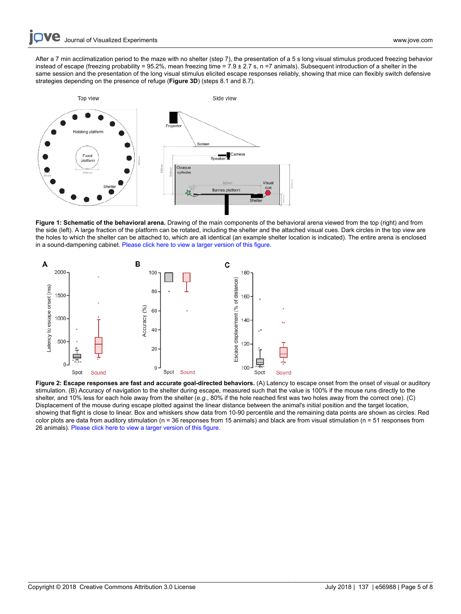After a 7 min acclimatization period to the maze with no shelter (step 7), the presentation of a 5 s long visual stimulus produced freezing behavior instead of escape (freezing probability = 95.2%, mean freezing time = 7.9 ± 2.7 s, n =7 animals). Subsequent introduction of a shelter in the same session and the presentation of the long visual stimulus elicited escape responses reliably, showing that mice can flexibly switch defensive strategies depending on the presence of refuge (**Figure 3D**) (steps 8.1 and 8.7).



**Figure 1: Schematic of the behavioral arena.** Drawing of the main components of the behavioral arena viewed from the top (right) and from the side (left). A large fraction of the platform can be rotated, including the shelter and the attached visual cues. Dark circles in the top view are the holes to which the shelter can be attached to, which are all identical (an example shelter location is indicated). The entire arena is enclosed in a sound-dampening cabinet. [Please click here to view a larger version of this figure.](/files/ftp_upload/56988/56988fig1large.jpg)



Figure 2: Escape responses are fast and accurate goal-directed behaviors. (A) Latency to escape onset from the onset of visual or auditory stimulation. (B) Accuracy of navigation to the shelter during escape, measured such that the value is 100% if the mouse runs directly to the shelter, and 10% less for each hole away from the shelter (*e.g*., 80% if the hole reached first was two holes away from the correct one). (C) Displacement of the mouse during escape plotted against the linear distance between the animal's initial position and the target location, showing that flight is close to linear. Box and whiskers show data from 10-90 percentile and the remaining data points are shown as circles. Red color plots are data from auditory stimulation (n = 36 responses from 15 animals) and black are from visual stimulation (n = 51 responses from 26 animals). [Please click here to view a larger version of this figure.](/files/ftp_upload/56988/56988fig2large.jpg)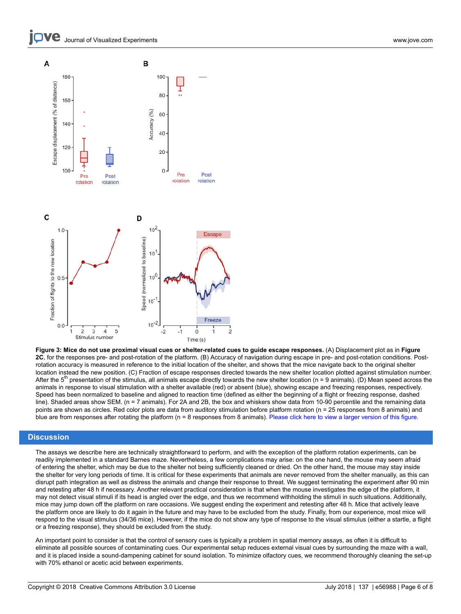Journal of Visualized [Experiments](https://www.jove.com) [www.jove.com](https://www.jove.com)



**Figure 3: Mice do not use proximal visual cues or shelter-related cues to guide escape responses.** (A) Displacement plot as in **Figure 2C**, for the responses pre- and post-rotation of the platform. (B) Accuracy of navigation during escape in pre- and post-rotation conditions. Postrotation accuracy is measured in reference to the initial location of the shelter, and shows that the mice navigate back to the original shelter location instead the new position. (C) Fraction of escape responses directed towards the new shelter location plotted against stimulation number. After the 5<sup>th</sup> presentation of the stimulus, all animals escape directly towards the new shelter location (n = 9 animals). (D) Mean speed across the animals in response to visual stimulation with a shelter available (red) or absent (blue), showing escape and freezing responses, respectively. Speed has been normalized to baseline and aligned to reaction time (defined as either the beginning of a flight or freezing response, dashed line). Shaded areas show SEM. (n = 7 animals). For 2A and 2B, the box and whiskers show data from 10-90 percentile and the remaining data points are shown as circles. Red color plots are data from auditory stimulation before platform rotation (n = 25 responses from 8 animals) and blue are from responses after rotating the platform (n = 8 responses from 8 animals). [Please click here to view a larger version of this figure.](/files/ftp_upload/56988/56988fig3large.jpg)

### **Discussion**

The assays we describe here are technically straightforward to perform, and with the exception of the platform rotation experiments, can be readily implemented in a standard Barnes maze. Nevertheless, a few complications may arise: on the one hand, the mouse may seem afraid of entering the shelter, which may be due to the shelter not being sufficiently cleaned or dried. On the other hand, the mouse may stay inside the shelter for very long periods of time. It is critical for these experiments that animals are never removed from the shelter manually, as this can disrupt path integration as well as distress the animals and change their response to threat. We suggest terminating the experiment after 90 min and retesting after 48 h if necessary. Another relevant practical consideration is that when the mouse investigates the edge of the platform, it may not detect visual stimuli if its head is angled over the edge, and thus we recommend withholding the stimuli in such situations. Additionally, mice may jump down off the platform on rare occasions. We suggest ending the experiment and retesting after 48 h. Mice that actively leave the platform once are likely to do it again in the future and may have to be excluded from the study. Finally, from our experience, most mice will respond to the visual stimulus (34/36 mice). However, if the mice do not show any type of response to the visual stimulus (either a startle, a flight or a freezing response), they should be excluded from the study.

An important point to consider is that the control of sensory cues is typically a problem in spatial memory assays, as often it is difficult to eliminate all possible sources of contaminating cues. Our experimental setup reduces external visual cues by surrounding the maze with a wall, and it is placed inside a sound-dampening cabinet for sound isolation. To minimize olfactory cues, we recommend thoroughly cleaning the set-up with 70% ethanol or acetic acid between experiments.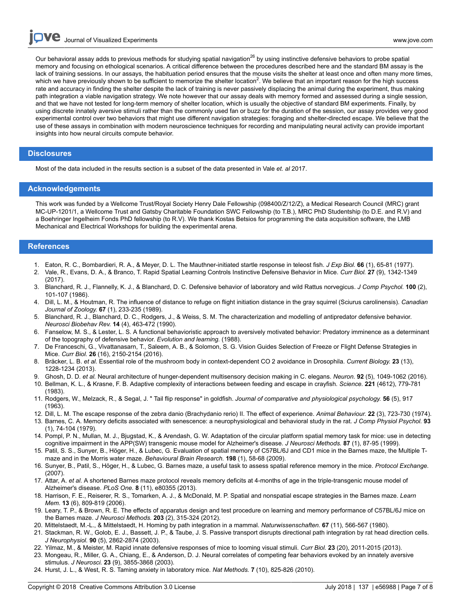**Ove** Journal of Visualized [Experiments](https://www.jove.com) [www.jove.com](https://www.jove.com)

Our behavioral assay adds to previous methods for studying spatial navigation<sup>26</sup> by using instinctive defensive behaviors to probe spatial memory and focusing on ethological scenarios. A critical difference between the procedures described here and the standard BM assay is the lack of training sessions. In our assays, the habituation period ensures that the mouse visits the shelter at least once and often many more times, which we have previously shown to be sufficient to memorize the shelter location<sup>2</sup>. We believe that an important reason for the high success rate and accuracy in finding the shelter despite the lack of training is never passively displacing the animal during the experiment, thus making path integration a viable navigation strategy. We note however that our assay deals with memory formed and assessed during a single session, and that we have not tested for long-term memory of shelter location, which is usually the objective of standard BM experiments. Finally, by using discrete innately aversive stimuli rather than the commonly used fan or buzz for the duration of the session, our assay provides very good experimental control over two behaviors that might use different navigation strategies: foraging and shelter-directed escape. We believe that the use of these assays in combination with modern neuroscience techniques for recording and manipulating neural activity can provide important insights into how neural circuits compute behavior.

#### **Disclosures**

Most of the data included in the results section is a subset of the data presented in Vale *et. al* 2017.

#### **Acknowledgements**

This work was funded by a Wellcome Trust/Royal Society Henry Dale Fellowship (098400/Z/12/Z), a Medical Research Council (MRC) grant MC-UP-1201/1, a Wellcome Trust and Gatsby Charitable Foundation SWC Fellowship (to T.B.), MRC PhD Studentship (to D.E. and R.V) and a Boehringer Ingelheim Fonds PhD fellowship (to R.V). We thank Kostas Betsios for programming the data acquisition software, the LMB Mechanical and Electrical Workshops for building the experimental arena.

### **References**

- 1. Eaton, R. C., Bombardieri, R. A., & Meyer, D. L. The Mauthner-initiated startle response in teleost fish. *J Exp Biol.* **66** (1), 65-81 (1977).
- 2. Vale, R., Evans, D. A., & Branco, T. Rapid Spatial Learning Controls Instinctive Defensive Behavior in Mice. *Curr Biol.* **27** (9), 1342-1349 (2017).
- 3. Blanchard, R. J., Flannelly, K. J., & Blanchard, D. C. Defensive behavior of laboratory and wild Rattus norvegicus. *J Comp Psychol.* **100** (2), 101-107 (1986).
- 4. Dill, L. M., & Houtman, R. The influence of distance to refuge on flight initiation distance in the gray squirrel (Sciurus carolinensis). *Canadian Journal of Zoology.* **67** (1), 233-235 (1989).
- 5. Blanchard, R. J., Blanchard, D. C., Rodgers, J., & Weiss, S. M. The characterization and modelling of antipredator defensive behavior. *Neurosci Biobehav Rev.* **14** (4), 463-472 (1990).
- 6. Fanselow, M. S., & Lester, L. S. A functional behavioristic approach to aversively motivated behavior: Predatory imminence as a determinant of the topography of defensive behavior. *Evolution and learning.* (1988).
- 7. De Franceschi, G., Vivattanasarn, T., Saleem, A. B., & Solomon, S. G. Vision Guides Selection of Freeze or Flight Defense Strategies in Mice. *Curr Biol.* **26** (16), 2150-2154 (2016).
- 8. Bräcker, L. B. *et al.* Essential role of the mushroom body in context-dependent CO 2 avoidance in Drosophila. *Current Biology.* **23** (13), 1228-1234 (2013).
- 9. Ghosh, D. D. *et al.* Neural architecture of hunger-dependent multisensory decision making in C. elegans. *Neuron.* **92** (5), 1049-1062 (2016).
- 10. Bellman, K. L., & Krasne, F. B. Adaptive complexity of interactions between feeding and escape in crayfish. *Science.* **221** (4612), 779-781 (1983).
- 11. Rodgers, W., Melzack, R., & Segal, J. " Tail flip response" in goldfish. *Journal of comparative and physiological psychology.* **56** (5), 917 (1963).
- 12. Dill, L. M. The escape response of the zebra danio (Brachydanio rerio) II. The effect of experience. *Animal Behaviour.* **22** (3), 723-730 (1974).
- 13. Barnes, C. A. Memory deficits associated with senescence: a neurophysiological and behavioral study in the rat. *J Comp Physiol Psychol.* **93** (1), 74-104 (1979).
- 14. Pompl, P. N., Mullan, M. J., Bjugstad, K., & Arendash, G. W. Adaptation of the circular platform spatial memory task for mice: use in detecting cognitive impairment in the APP(SW) transgenic mouse model for Alzheimer's disease. *J Neurosci Methods.* **87** (1), 87-95 (1999).
- 15. Patil, S. S., Sunyer, B., Höger, H., & Lubec, G. Evaluation of spatial memory of C57BL/6J and CD1 mice in the Barnes maze, the Multiple Tmaze and in the Morris water maze. *Behavioural Brain Research.* **198** (1), 58-68 (2009).
- 16. Sunyer, B., Patil, S., Höger, H., & Lubec, G. Barnes maze, a useful task to assess spatial reference memory in the mice. *Protocol Exchange.* (2007).
- 17. Attar, A. *et al.* A shortened Barnes maze protocol reveals memory deficits at 4-months of age in the triple-transgenic mouse model of Alzheimer's disease. *PLoS One.* **8** (11), e80355 (2013).
- 18. Harrison, F. E., Reiserer, R. S., Tomarken, A. J., & McDonald, M. P. Spatial and nonspatial escape strategies in the Barnes maze. *Learn Mem.* **13** (6), 809-819 (2006).
- 19. Leary, T. P., & Brown, R. E. The effects of apparatus design and test procedure on learning and memory performance of C57BL/6J mice on the Barnes maze. *J Neurosci Methods.* **203** (2), 315-324 (2012).
- 20. Mittelstaedt, M.-L., & Mittelstaedt, H. Homing by path integration in a mammal. *Naturwissenschaften.* **67** (11), 566-567 (1980).
- 21. Stackman, R. W., Golob, E. J., Bassett, J. P., & Taube, J. S. Passive transport disrupts directional path integration by rat head direction cells. *J Neurophysiol.* **90** (5), 2862-2874 (2003).
- 22. Yilmaz, M., & Meister, M. Rapid innate defensive responses of mice to looming visual stimuli. *Curr Biol.* **23** (20), 2011-2015 (2013).
- 23. Mongeau, R., Miller, G. A., Chiang, E., & Anderson, D. J. Neural correlates of competing fear behaviors evoked by an innately aversive stimulus. *J Neurosci.* **23** (9), 3855-3868 (2003).
- 24. Hurst, J. L., & West, R. S. Taming anxiety in laboratory mice. *Nat Methods.* **7** (10), 825-826 (2010).